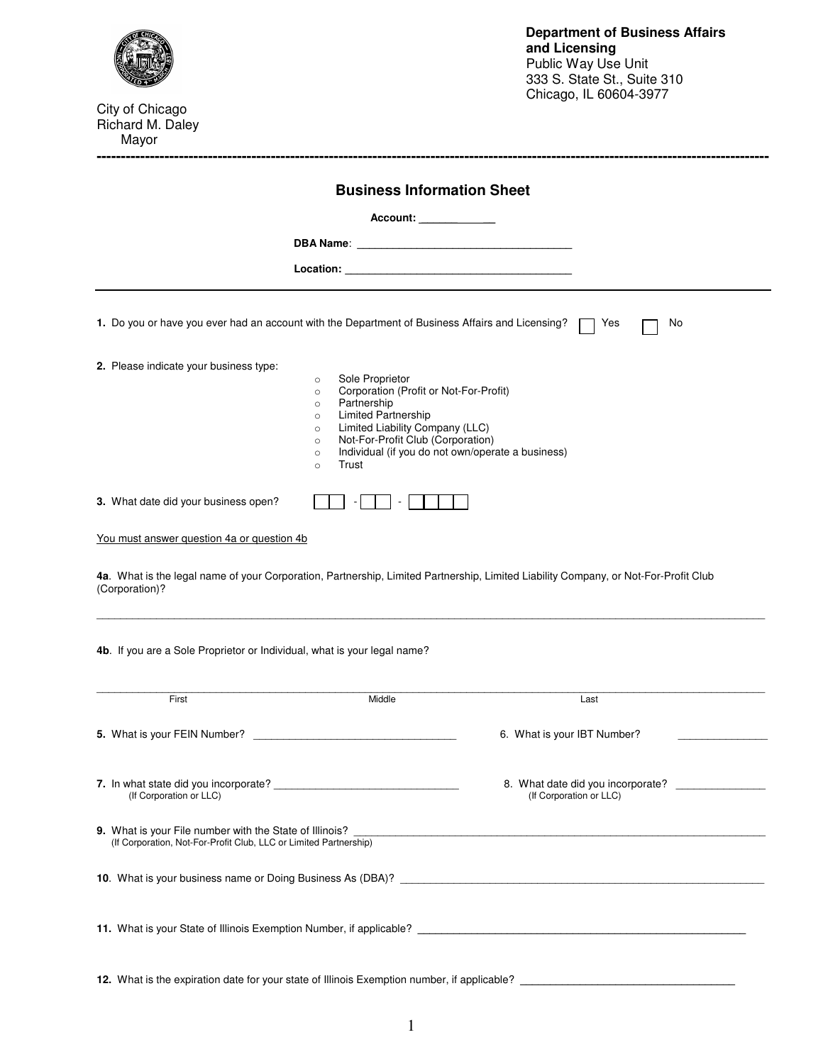

City of Chicago Richard M. Daley Mayor

|                                                                                                  |                                                                                                                                                                                                                                                                                                                                      | Account: _____________                            |
|--------------------------------------------------------------------------------------------------|--------------------------------------------------------------------------------------------------------------------------------------------------------------------------------------------------------------------------------------------------------------------------------------------------------------------------------------|---------------------------------------------------|
|                                                                                                  |                                                                                                                                                                                                                                                                                                                                      |                                                   |
|                                                                                                  | Location: New York Department of the Contract of the Contract of the Contract of the Contract of the Contract of the Contract of the Contract of the Contract of the Contract of the Contract of the Contract of the Contract                                                                                                        |                                                   |
| 1. Do you or have you ever had an account with the Department of Business Affairs and Licensing? |                                                                                                                                                                                                                                                                                                                                      | l Yes<br>No                                       |
| 2. Please indicate your business type:                                                           | Sole Proprietor<br>$\circ$<br>Corporation (Profit or Not-For-Profit)<br>$\circ$<br>Partnership<br>$\circ$<br><b>Limited Partnership</b><br>$\circ$<br>Limited Liability Company (LLC)<br>$\circ$<br>Not-For-Profit Club (Corporation)<br>$\circ$<br>Individual (if you do not own/operate a business)<br>$\circ$<br>Trust<br>$\circ$ |                                                   |
| 3. What date did your business open?                                                             |                                                                                                                                                                                                                                                                                                                                      |                                                   |
| You must answer question 4a or question 4b                                                       |                                                                                                                                                                                                                                                                                                                                      |                                                   |
| (Corporation)?<br>4b. If you are a Sole Proprietor or Individual, what is your legal name?       |                                                                                                                                                                                                                                                                                                                                      |                                                   |
| First                                                                                            | Middle                                                                                                                                                                                                                                                                                                                               | Last                                              |
|                                                                                                  |                                                                                                                                                                                                                                                                                                                                      |                                                   |
| 5. What is your FEIN Number?                                                                     |                                                                                                                                                                                                                                                                                                                                      | 6. What is your IBT Number?                       |
| (If Corporation or LLC)                                                                          |                                                                                                                                                                                                                                                                                                                                      | (If Corporation or LLC)                           |
| (If Corporation, Not-For-Profit Club, LLC or Limited Partnership)                                |                                                                                                                                                                                                                                                                                                                                      |                                                   |
|                                                                                                  |                                                                                                                                                                                                                                                                                                                                      | 8. What date did you incorporate? _______________ |

**-------------------------------------------------------------------------------------------------------------------------------------------**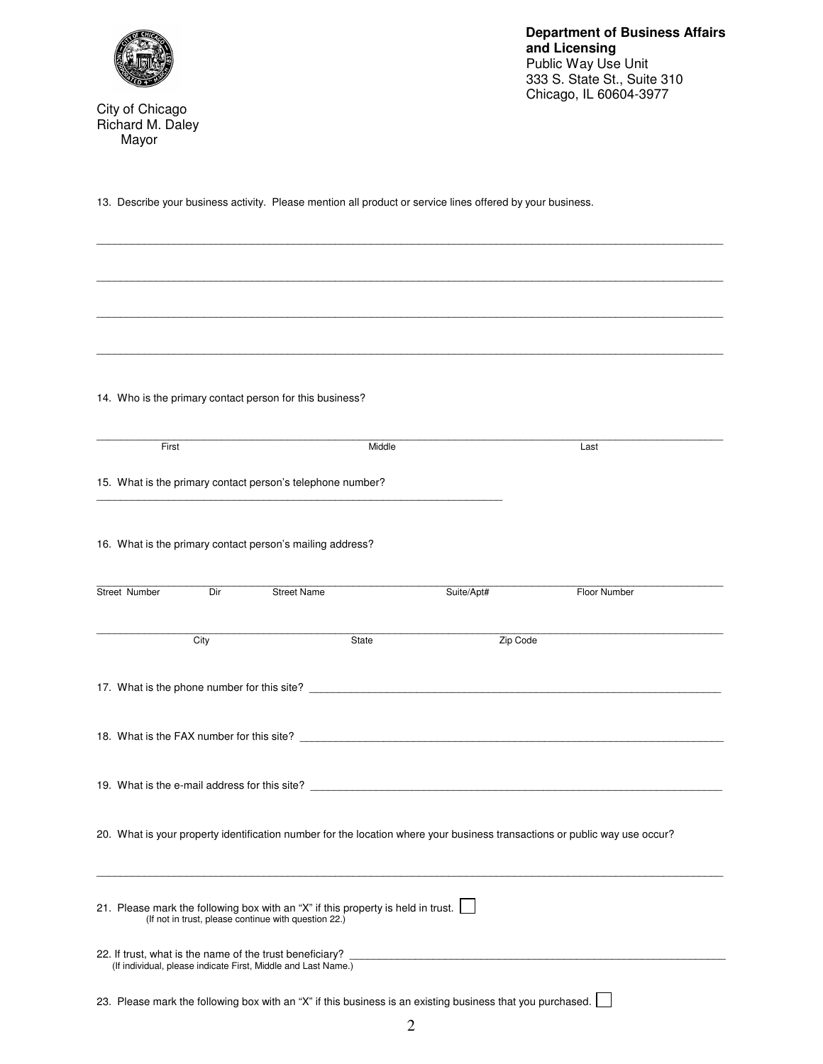

City of Chicago Richard M. Daley Mayor

**Department of Business Affairs and Licensing**  Public Way Use Unit 333 S. State St., Suite 310 Chicago, IL 60604-3977

13. Describe your business activity. Please mention all product or service lines offered by your business.

\_\_\_\_\_\_\_\_\_\_\_\_\_\_\_\_\_\_\_\_\_\_\_\_\_\_\_\_\_\_\_\_\_\_\_\_\_\_\_\_\_\_\_\_\_\_\_\_\_\_\_\_\_\_\_\_\_\_\_\_\_\_\_\_\_\_\_\_\_\_\_\_\_\_\_\_\_\_\_\_\_\_\_\_\_\_\_\_\_\_\_\_\_\_\_\_\_\_\_\_\_\_\_\_\_

\_\_\_\_\_\_\_\_\_\_\_\_\_\_\_\_\_\_\_\_\_\_\_\_\_\_\_\_\_\_\_\_\_\_\_\_\_\_\_\_\_\_\_\_\_\_\_\_\_\_\_\_\_\_\_\_\_\_\_\_\_\_\_\_\_\_\_\_\_\_\_\_\_\_\_\_\_\_\_\_\_\_\_\_\_\_\_\_\_\_\_\_\_\_\_\_\_\_\_\_\_\_\_\_\_ \_\_\_\_\_\_\_\_\_\_\_\_\_\_\_\_\_\_\_\_\_\_\_\_\_\_\_\_\_\_\_\_\_\_\_\_\_\_\_\_\_\_\_\_\_\_\_\_\_\_\_\_\_\_\_\_\_\_\_\_\_\_\_\_\_\_\_\_\_\_\_\_\_\_\_\_\_\_\_\_\_\_\_\_\_\_\_\_\_\_\_\_\_\_\_\_\_\_\_\_\_\_\_\_\_ \_\_\_\_\_\_\_\_\_\_\_\_\_\_\_\_\_\_\_\_\_\_\_\_\_\_\_\_\_\_\_\_\_\_\_\_\_\_\_\_\_\_\_\_\_\_\_\_\_\_\_\_\_\_\_\_\_\_\_\_\_\_\_\_\_\_\_\_\_\_\_\_\_\_\_\_\_\_\_\_\_\_\_\_\_\_\_\_\_\_\_\_\_\_\_\_\_\_\_\_\_\_\_\_\_ 14. Who is the primary contact person for this business? \_\_\_\_\_\_\_\_\_\_\_\_\_\_\_\_\_\_\_\_\_\_\_\_\_\_\_\_\_\_\_\_\_\_\_\_\_\_\_\_\_\_\_\_\_\_\_\_\_\_\_\_\_\_\_\_\_\_\_\_\_\_\_\_\_\_\_\_\_\_\_\_\_\_\_\_\_\_\_\_\_\_\_\_\_\_\_\_\_\_\_\_\_\_\_\_\_\_\_\_\_\_\_\_\_ First **Middle Contract Middle Contract Middle Contract Middle Contract Middle Contract Middle Contract Middle Contract Middle Contract Middle Contract Middle Contract Middle Contract Middle Contract** 15. What is the primary contact person's telephone number? \_\_\_\_\_\_\_\_\_\_\_\_\_\_\_\_\_\_\_\_\_\_\_\_\_\_\_\_\_\_\_\_\_\_\_\_\_\_\_\_\_\_\_\_\_\_\_\_\_\_\_\_\_\_\_\_\_\_\_\_\_\_\_\_\_\_\_\_ 16. What is the primary contact person's mailing address? \_\_\_\_\_\_\_\_\_\_\_\_\_\_\_\_\_\_\_\_\_\_\_\_\_\_\_\_\_\_\_\_\_\_\_\_\_\_\_\_\_\_\_\_\_\_\_\_\_\_\_\_\_\_\_\_\_\_\_\_\_\_\_\_\_\_\_\_\_\_\_\_\_\_\_\_\_\_\_\_\_\_\_\_\_\_\_\_\_\_\_\_\_\_\_\_\_\_\_\_\_\_\_\_\_ Street Number Dir Street Name Suite/Apt# Floor Number \_\_\_\_\_\_\_\_\_\_\_\_\_\_\_\_\_\_\_\_\_\_\_\_\_\_\_\_\_\_\_\_\_\_\_\_\_\_\_\_\_\_\_\_\_\_\_\_\_\_\_\_\_\_\_\_\_\_\_\_\_\_\_\_\_\_\_\_\_\_\_\_\_\_\_\_\_\_\_\_\_\_\_\_\_\_\_\_\_\_\_\_\_\_\_\_\_\_\_\_\_\_\_\_\_ City **City** City **City** State State **Zip Code** 17. What is the phone number for this site? \_\_\_\_\_\_\_\_\_\_\_\_\_\_\_\_\_\_\_\_\_\_\_\_\_\_\_\_\_\_\_\_\_\_\_\_\_\_\_\_\_\_\_\_\_\_\_\_\_\_\_\_\_\_\_\_\_\_\_\_\_\_\_\_\_\_\_\_\_ 18. What is the FAX number for this site? 19. What is the e-mail address for this site? \_\_\_\_\_\_\_\_\_\_\_\_\_\_\_\_\_\_\_\_\_\_\_\_\_\_\_\_\_\_\_\_\_\_ 20. What is your property identification number for the location where your business transactions or public way use occur? \_\_\_\_\_\_\_\_\_\_\_\_\_\_\_\_\_\_\_\_\_\_\_\_\_\_\_\_\_\_\_\_\_\_\_\_\_\_\_\_\_\_\_\_\_\_\_\_\_\_\_\_\_\_\_\_\_\_\_\_\_\_\_\_\_\_\_\_\_\_\_\_\_\_\_\_\_\_\_\_\_\_\_\_\_\_\_\_\_\_\_\_\_\_\_\_\_\_\_\_\_\_\_\_\_ 21. Please mark the following box with an "X" if this property is held in trust. (If not in trust, please continue with question 22.) 22. If trust, what is the name of the trust beneficiary? (If individual, please indicate First, Middle and Last Name.) 23. Please mark the following box with an "X" if this business is an existing business that you purchased.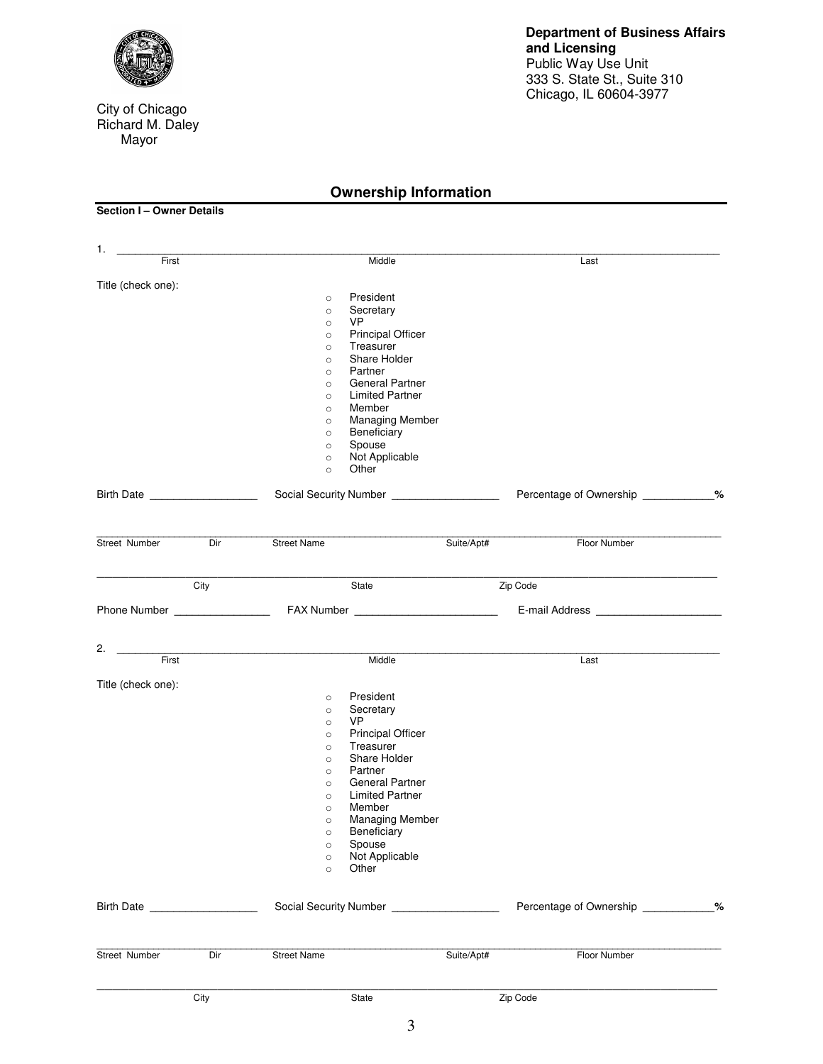

City of Chicago Richard M. Daley Mayor

## **Ownership Information**

**Section I – Owner Details** 

| 1.<br>First                  |      | Middle                                         |            | Last                                |  |
|------------------------------|------|------------------------------------------------|------------|-------------------------------------|--|
|                              |      |                                                |            |                                     |  |
| Title (check one):           |      |                                                |            |                                     |  |
|                              |      | President<br>$\circ$                           |            |                                     |  |
|                              |      | Secretary<br>$\circ$<br><b>VP</b>              |            |                                     |  |
|                              |      | $\circ$<br><b>Principal Officer</b><br>$\circ$ |            |                                     |  |
|                              |      | Treasurer<br>$\circ$                           |            |                                     |  |
|                              |      | Share Holder<br>$\circ$                        |            |                                     |  |
|                              |      | Partner<br>$\circ$                             |            |                                     |  |
|                              |      | General Partner<br>$\circ$                     |            |                                     |  |
|                              |      | <b>Limited Partner</b><br>$\circ$              |            |                                     |  |
|                              |      | Member<br>$\circ$<br><b>Managing Member</b>    |            |                                     |  |
|                              |      | $\circ$<br>Beneficiary                         |            |                                     |  |
|                              |      | $\circ$<br>Spouse<br>$\circ$                   |            |                                     |  |
|                              |      | Not Applicable<br>$\circ$                      |            |                                     |  |
|                              |      | Other<br>$\circ$                               |            |                                     |  |
| Birth Date <b>Birth</b>      |      | Social Security Number ___________________     |            | Percentage of Ownership ___________ |  |
|                              |      |                                                |            |                                     |  |
| Street Number                | Dir  | <b>Street Name</b>                             | Suite/Apt# | Floor Number                        |  |
|                              | City | State                                          |            | Zip Code                            |  |
|                              |      |                                                |            |                                     |  |
|                              |      |                                                |            |                                     |  |
| 2.                           |      |                                                |            |                                     |  |
| First                        |      | Middle                                         |            | Last                                |  |
| Title (check one):           |      |                                                |            |                                     |  |
|                              |      | President<br>$\circ$                           |            |                                     |  |
|                              |      | Secretary<br>$\circ$                           |            |                                     |  |
|                              |      | <b>VP</b><br>$\circ$                           |            |                                     |  |
|                              |      | <b>Principal Officer</b><br>$\circ$            |            |                                     |  |
|                              |      | Treasurer<br>$\circ$                           |            |                                     |  |
|                              |      | Share Holder<br>$\circ$                        |            |                                     |  |
|                              |      | Partner<br>$\circ$<br><b>General Partner</b>   |            |                                     |  |
|                              |      | $\circ$<br><b>Limited Partner</b>              |            |                                     |  |
|                              |      | $\circ$<br>Member<br>$\circ$                   |            |                                     |  |
|                              |      | <b>Managing Member</b><br>$\circ$              |            |                                     |  |
|                              |      | Beneficiary<br>$\circ$                         |            |                                     |  |
|                              |      | Spouse<br>$\circ$                              |            |                                     |  |
|                              |      | Not Applicable<br>$\circ$                      |            |                                     |  |
|                              |      | Other<br>$\circ$                               |            |                                     |  |
| Birth Date <b>Example 20</b> |      | Social Security Number ___________________     |            | Percentage of Ownership 26          |  |
|                              |      |                                                |            |                                     |  |
| Street Number                | Dir  | <b>Street Name</b>                             | Suite/Apt# | Floor Number                        |  |
|                              |      |                                                |            |                                     |  |
|                              | City | State                                          |            | Zip Code                            |  |